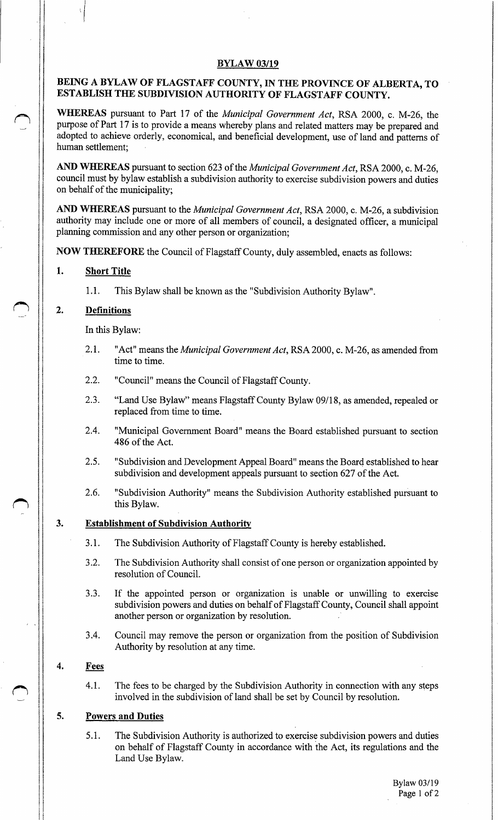### **BYLAW 03/19**

# BEING A BYLAW OF FLAGSTAFF COUNTY, IN THE PROVINCE OF ALBERTA, TO ESTABLISH THE SUBDIVISION AUTHORITY OF FLAGSTAFF COUNTY.

WHEREAS pursuant to Part 17 of the *Municipal Government Act*, RSA 2000, c. M-26, the purpose of Part 17 is to provide a means whereby plans and related matters may be prepared and adopted to achieve orderly, economical, and beneficial development, use of land and patterns of human settlement;

AND WHEREAS pursuant to section 623 of the Municipal Government Act, RSA 2000, c. M-26, council must by bylaw establish a subdivision authority to exercise subdivision powers and duties on behalf of the municipality;

AND WHEREAS pursuant to the *Municipal Government Act*, RSA 2000, c. M-26, a subdivision authority may include one or more of all members of council, a designated officer, a municipal planning commission and any other person or organization;

NOW THEREFORE the Council of Flagstaff County, duly assembled, enacts as follows:

### 1. Short Title

1.1. This Bylaw shall be known as the "Subdivision Authority Bylaw".

# 2. Definitions

In this Bylaw:

- 2.1. "Act" means the *Municipal Government Act*, RSA 2000, c. M-26, as amended from time to time.
- 2.2. "Council" means the Council of Flagstaff County.
- 2.3. "Land Use Bylaw" means Flagstaff County Bylaw 09/18, as amended, repealed or replaced from time to time.
- 2.4. "Municipal Government Board" means the Board established pursuant to section 486 of the Act.
- 2.5. "Subdivision and Development Appeal Board" means the Board established to hear subdivision and development appeals pursuant to section 627 of the Act.
- 2.6. "Subdivision Authority" means the Subdivision Authority established pursuant to this Bylaw.

### 3. Establishment of Subdivision Authority

- 3.1. The Subdivision Authority of Flagstaff County is hereby established.
- 3.2. The Subdivision Authority shall consist of one person or organization appointed by resolution of Council.
- 3. 3. If the appointed person or organization is unable or unwilling to exercise subdivision powers and duties on behalf of Flagstaff County, Council shall appoint another person or organization by resolution.
- 3.4. Council may remove the person or organization from the position of Subdivision Authority by resolution at any time.

### 4. Fees

4.1. The fees to be charged by the Subdivision Authority in connection with any steps involved in the subdivision of land shall be set by Council by resolution.

# 5. Powers and Duties

5.1. The Subdivision Authority is authorized to exercise subdivision powers and duties on behalf of Flagstaff County in accordance with the Act, its regulations and the Land Use Bylaw.